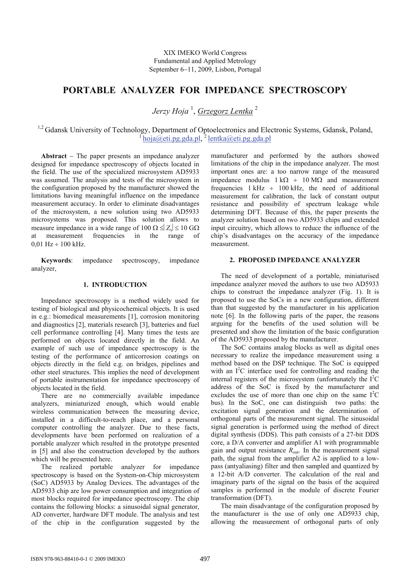# **PORTABLE ANALYZER FOR IMPEDANCE SPECTROSCOPY**

*Jerzy Hoja* <sup>1</sup> , *Grzegorz Lentka* <sup>2</sup>

<sup>1,2</sup> Gdansk University of Technology, Department of Optoelectronics and Electronic Systems, Gdansk, Poland,  $\frac{1}{1}$  hoja@eti.pg.gda.pl,  $\frac{2}{1}$  lentka@eti.pg.gda.pl

**Abstract** − The paper presents an impedance analyzer designed for impedance spectroscopy of objects located in the field. The use of the specialized microsystem AD5933 was assumed. The analysis and tests of the microsystem in the configuration proposed by the manufacturer showed the limitations having meaningful influence on the impedance measurement accuracy. In order to eliminate disadvantages of the microsystem, a new solution using two AD5933 microsystems was proposed. This solution allows to measure impedance in a wide range of  $100 \Omega \leq Z_x \leq 10 \Omega$ at measurement frequencies in the range of  $0.01$  Hz  $\div$  100 kHz.

**Keywords**: impedance spectroscopy, impedance analyzer,

## **1. INTRODUCTION**

Impedance spectroscopy is a method widely used for testing of biological and physicochemical objects. It is used in e.g.: biomedical measurements [1], corrosion monitoring and diagnostics [2], materials research [3], batteries and fuel cell performance controlling [4]. Many times the tests are performed on objects located directly in the field. An example of such use of impedance spectroscopy is the testing of the performance of anticorrosion coatings on objects directly in the field e.g. on bridges, pipelines and other steel structures. This implies the need of development of portable instrumentation for impedance spectroscopy of objects located in the field.

There are no commercially available impedance analyzers, miniaturized enough, which would enable wireless communication between the measuring device, installed in a difficult-to-reach place, and a personal computer controlling the analyzer. Due to these facts, developments have been performed on realization of a portable analyzer which resulted in the prototype presented in [5] and also the construction developed by the authors which will be presented here.

The realized portable analyzer for impedance spectroscopy is based on the System-on-Chip microsystem (SoC) AD5933 by Analog Devices. The advantages of the AD5933 chip are low power consumption and integration of most blocks required for impedance spectroscopy. The chip contains the following blocks: a sinusoidal signal generator, AD converter, hardware DFT module. The analysis and test of the chip in the configuration suggested by the

manufacturer and performed by the authors showed limitations of the chip in the impedance analyzer. The most important ones are: a too narrow range of the measured impedance modulus  $1 kΩ \div 10 MΩ$  and measurement frequencies  $1 kHz \div 100 kHz$ , the need of additional measurement for calibration, the lack of constant output resistance and possibility of spectrum leakage while determining DFT. Because of this, the paper presents the analyzer solution based on two AD5933 chips and extended input circuitry, which allows to reduce the influence of the chip's disadvantages on the accuracy of the impedance measurement.

## **2. PROPOSED IMPEDANCE ANALYZER**

The need of development of a portable, miniaturised impedance analyzer moved the authors to use two AD5933 chips to construct the impedance analyzer (Fig. 1). It is proposed to use the SoCs in a new configuration, different than that suggested by the manufacturer in his application note [6]. In the following parts of the paper, the reasons arguing for the benefits of the used solution will be presented and show the limitation of the basic configuration of the AD5933 proposed by the manufacturer.

The SoC contains analog blocks as well as digital ones necessary to realize the impedance measurement using a method based on the DSP technique. The SoC is equipped with an I<sup>2</sup>C interface used for controlling and reading the internal registers of the microsystem (unfortunately the  $I<sup>2</sup>C$ address of the SoC is fixed by the manufacturer and excludes the use of more than one chip on the same  $I^2C$ bus). In the SoC, one can distinguish two paths: the excitation signal generation and the determination of orthogonal parts of the measurement signal. The sinusoidal signal generation is performed using the method of direct digital synthesis (DDS). This path consists of a 27-bit DDS core, a D/A converter and amplifier A1 with programmable gain and output resistance  $R_{\text{out}}$ . In the measurement signal path, the signal from the amplifier A2 is applied to a lowpass (antyaliasing) filter and then sampled and quantized by a 12-bit A/D converter. The calculation of the real and imaginary parts of the signal on the basis of the acquired samples is performed in the module of discrete Fourier transformation (DFT).

The main disadvantage of the configuration proposed by the manufacturer is the use of only one AD5933 chip, allowing the measurement of orthogonal parts of only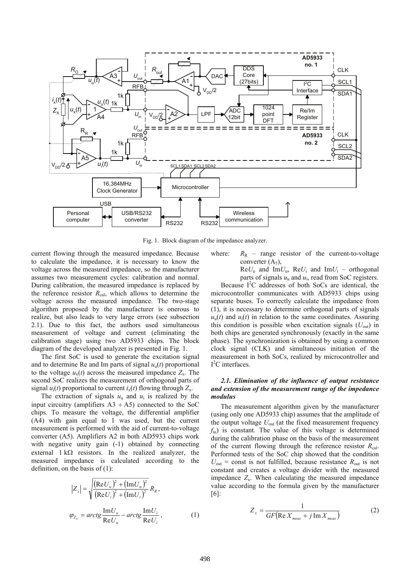

Fig. 1. Block diagram of the impedance analyzer.

current flowing through the measured impedance. Because to calculate the impedance, it is necessary to know the voltage across the measured impedance, so the manufacturer assumes two measurement cycles: calibration and normal. During calibration, the measured impedance is replaced by the reference resistor  $R_{cal}$ , which allows to determine the voltage across the measured impedance. The two-stage algorithm proposed by the manufacturer is onerous to realize, but also leads to very large errors (see subsection 2.1). Due to this fact, the authors used simultaneous measurement of voltage and current (eliminating the calibration stage) using two AD5933 chips. The block diagram of the developed analyzer is presented in Fig. 1.

The first SoC is used to generate the excitation signal and to determine Re and Im parts of signal  $u<sub>u</sub>(t)$  proportional to the voltage  $u_x(t)$  across the measured impedance  $Z_x$ . The second SoC realizes the measurement of orthogonal parts of signal  $u_i(t)$  proportional to current  $i_x(t)$  flowing through  $Z_x$ .

The extraction of signals  $u_u$  and  $u_i$  is realized by the input circuitry (amplifiers  $A3 \div A5$ ) connected to the SoC chips. To measure the voltage, the differential amplifier (A4) with gain equal to 1 was used, but the current measurement is performed with the aid of current-to-voltage converter (A5). Amplifiers A2 in both AD5933 chips work with negative unity gain  $(-1)$  obtained by connecting external  $1 k\Omega$  resistors. In the realized analyzer, the measured impedance is calculated according to the definition, on the basis of  $(1)$ :

$$
|Z_x| = \sqrt{\frac{(\text{Re}U_u)^2 + (\text{Im}U_u)^2}{(\text{Re}U_i)^2 + (\text{Im}U_i)^2} R_{R}},
$$
  

$$
\varphi_{Z_x} = \arctg \frac{\text{Im}U_u}{\text{Re}U_u} - \arctg \frac{\text{Im}U_i}{\text{Re}U_i},
$$
 (1)

where:  $R_R$  – range resistor of the current-to-voltage converter  $(A_5)$ ,

> $ReU_u$  and  $ImU_u$ ,  $ReU_i$  and  $ImU_i$  – orthogonal parts of signals  $u<sub>u</sub>$  and  $u<sub>i</sub>$ , read from SoC registers.

Because I<sup>2</sup>C addresses of both SoCs are identical, the microcontroller communicates with AD5933 chips using separate buses. To correctly calculate the impedance from (1), it is necessary to determine orthogonal parts of signals  $u<sub>u</sub>(t)$  and  $u<sub>i</sub>(t)$  in relation to the same coordinates. Assuring this condition is possible when excitation signals  $(U_{\text{out}})$  in both chips are generated synchronously (exactly in the same phase). The synchronization is obtained by using a common clock signal (CLK) and simultaneous initiation of the measurement in both SoCs, realized by microcontroller and  $I<sup>2</sup>C$  interfaces.

# *2.1. Elimination of the influence of output resistance and extension of the measurement range of the impedance modulus*

The measurement algorithm given by the manufacturer (using only one AD5933 chip) assumes that the amplitude of the output voltage *U*out (at the fixed measurement frequency *f*m) is constant. The value of this voltage is determined during the calibration phase on the basis of the measurement of the current flowing through the reference resistor  $R_{cal}$ . Performed tests of the SoC chip showed that the condition  $U_{\text{out}}$  = const is not fulfilled, because resistance  $R_{\text{out}}$  is not constant and creates a voltage divider with the measured impedance  $Z_x$ . When calculating the measured impedance value according to the formula given by the manufacturer [6]:

$$
Z_x = \frac{1}{GF(\text{Re } X_{meas} + j \text{Im } X_{meas})}
$$
 (2)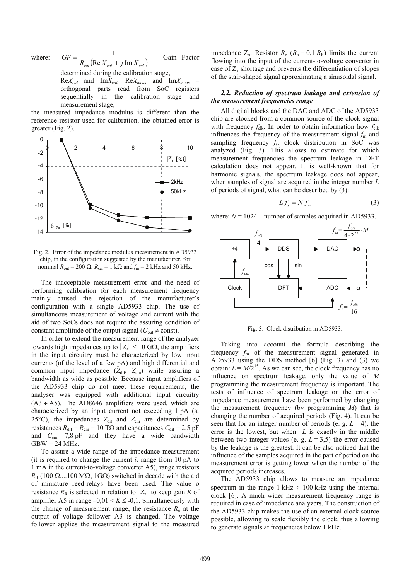where:  $GF = \frac{1}{R_{cal}(\text{Re } X_{cal} + j \text{Im } X_{cal})}$  $=\frac{1}{R_{cal}(Re X_{col} + j Im X_{col})}$  - Gain Factor

determined during the calibration stage,

Re*Xcal* and Im*Xcal,* Re*Xmeas* and Im*Xmeas* – orthogonal parts read from SoC registers sequentially in the calibration stage and measurement stage,

the measured impedance modulus is different than the reference resistor used for calibration, the obtained error is greater (Fig. 2).



Fig. 2. Error of the impedance modulus measurement in AD5933 chip, in the configuration suggested by the manufacturer, for nominal  $R_{\text{out}} = 200 \Omega$ ,  $R_{\text{cal}} = 1 \text{ k}\Omega$  and  $f_m = 2 \text{ kHz}$  and 50 kHz.

The inacceptable measurement error and the need of performing calibration for each measurement frequency mainly caused the rejection of the manufacturer's configuration with a single AD5933 chip. The use of simultaneous measurement of voltage and current with the aid of two SoCs does not require the assuring condition of constant amplitude of the output signal ( $U_{\text{out}} \neq \text{const}$ ).

In order to extend the measurement range of the analyzer towards high impedances up to  $|Z_x| \leq 10$  GΩ, the amplifiers in the input circuitry must be characterized by low input currents (of the level of a few pA) and high differential and common input impedance  $(Z_{\text{dif}}, Z_{\text{cm}})$  while assuring a bandwidth as wide as possible. Because input amplifiers of the AD5933 chip do not meet these requirements, the analyser was equipped with additional input circuitry  $(A3 \div A5)$ . The AD8646 amplifiers were used, which are characterized by an input current not exceeding 1 pA (at 25 $^{\circ}$ C), the impedances  $Z_{\text{diff}}$  and  $Z_{\text{cm}}$  are determined by resistances  $R_{\text{dif}} = R_{\text{cm}} = 10 \text{ T}\Omega$  and capacitances  $C_{\text{dif}} = 2.5 \text{ pF}$ and  $C_{cm} = 7.8$  pF and they have a wide bandwidth  $GBW = 24 MHz$ .

To assure a wide range of the impedance measurement (it is required to change the current  $i_x$  range from 10 pA to 1 mA in the current-to-voltage converter A5), range resistors  $R_R$  (100 Ω,...100 MΩ, 1GΩ) switched in decade with the aid of miniature reed-relays have been used. The value o resistance  $R_R$  is selected in relation to  $Z_x$  to keep gain *K* of amplifier A5 in range  $-0.01 < K \le -0.1$ . Simultaneously with the change of measurement range, the resistance  $R_0$  at the output of voltage follower A3 is changed. The voltage follower applies the measurement signal to the measured impedance  $Z_x$ . Resistor  $R_0$  ( $R_0 = 0.1 R_R$ ) limits the current flowing into the input of the current-to-voltage converter in case of  $Z_x$  shortage and prevents the differentiation of slopes of the stair-shaped signal approximating a sinusoidal signal.

# *2.2. Reduction of spectrum leakage and extension of the measurement frequencies range*

All digital blocks and the DAC and ADC of the AD5933 chip are clocked from a common source of the clock signal with frequency  $f_{\text{clk}}$ . In order to obtain information how  $f_{\text{clk}}$ influences the frequency of the measurement signal  $f<sub>m</sub>$  and sampling frequency  $f_s$ , clock distribution in SoC was analyzed (Fig. 3). This allows to estimate for which measurement frequencies the spectrum leakage in DFT calculation does not appear. It is well-known that for harmonic signals, the spectrum leakage does not appear, when samples of signal are acquired in the integer number *L* of periods of signal, what can be described by (3):

$$
Lf_s = N f_m \tag{3}
$$

where:  $N = 1024$  – number of samples acquired in AD5933.



Fig. 3. Clock distribution in AD5933.

Taking into account the formula describing the frequency *f*m of the measurement signal generated in AD5933 using the DDS method [6] (Fig. 3) and (3) we obtain:  $L = M/2^{15}$ . As we can see, the clock frequency has no influence on spectrum leakage, only the value of *M* programming the measurement frequency is important. The tests of influence of spectrum leakage on the error of impedance measurement have been performed by changing the measurement frequency (by programming *M*) that is changing the number of acquired periods (Fig. 4). It can be seen that for an integer number of periods (e. g.  $L = 4$ ), the error is the lowest, but when *L* is exactly in the middle between two integer values (e. g.  $L = 3.5$ ) the error caused by the leakage is the greatest. It can be also noticed that the influence of the samples acquired in the part of period on the measurement error is getting lower when the number of the acquired periods increases.

The AD5933 chip allows to measure an impedance spectrum in the range  $1 \text{ kHz} \div 100 \text{ kHz}$  using the internal clock [6]. A much wider measurement frequency range is required in case of impedance analyzers. The construction of the AD5933 chip makes the use of an external clock source possible, allowing to scale flexibly the clock, thus allowing to generate signals at frequencies below 1 kHz.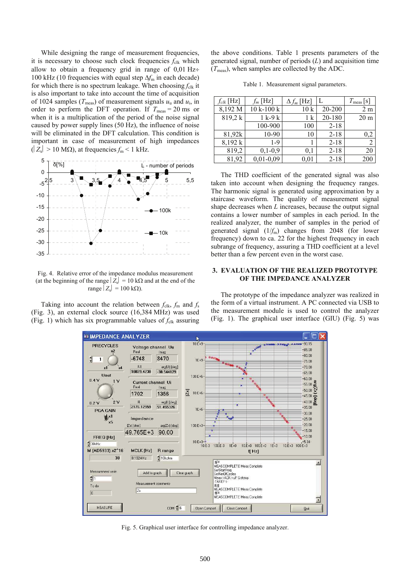While designing the range of measurement frequencies, it is necessary to choose such clock frequencies  $f_{\text{clk}}$  which allow to obtain a frequency grid in range of 0,01 Hz÷ 100 kHz (10 frequencies with equal step Δ*f*m in each decade) for which there is no spectrum leakage. When choosing  $f_{\text{clk}}$  it is also important to take into account the time of acquisition of 1024 samples ( $T_{\text{meas}}$ ) of measurement signals  $u_{\text{u}}$  and  $u_{\text{i}}$ , in order to perform the DFT operation. If  $T_{\text{meas}} = 20 \text{ ms}$  or when it is a multiplication of the period of the noise signal caused by power supply lines (50 Hz), the influence of noise will be eliminated in the DFT calculation. This condition is important in case of measurement of high impedances  $(|Z_x| > 10 \text{ M}\Omega)$ , at frequencies  $f_m < 1 \text{ kHz}$ .



Fig. 4. Relative error of the impedance modulus measurement (at the beginning of the range  $|\bar{Z}_{x}| = 10 \text{ k}\Omega$  and at the end of the range  $|Z_x|$  = 100 kΩ).

Taking into account the relation between  $f_{\text{clk}}$ ,  $f_{\text{m}}$  and  $f_{\text{s}}$ (Fig. 3), an external clock source (16,384 MHz) was used (Fig. 1) which has six programmable values of  $f_{\text{clk}}$  assuring the above conditions. Table 1 presents parameters of the generated signal, number of periods (*L*) and acquisition time  $(T_{\text{meas}})$ , when samples are collected by the ADC.

Table 1. Measurement signal parameters.

| $f_{clk}$ [Hz] | $f_m$ [Hz]  | $\Delta f_m$ [Hz] |          | $T_{\text{meas}}$ [s] |
|----------------|-------------|-------------------|----------|-----------------------|
| 8,192 M        | $10k-100k$  | 10k               | 20-200   | 2 <sub>m</sub>        |
| 819,2 k        | $1 k-9 k$   | 1 k               | 20-180   | 20 <sub>m</sub>       |
|                | 100-900     | 100               | $2 - 18$ |                       |
| 81,92k         | 10-90       | 10                | $2 - 18$ | 0,2                   |
| 8,192 k        | $1-9$       |                   | $2 - 18$ |                       |
| 819,2          | $0,1-0,9$   | 0.1               | $2 - 18$ | 20                    |
| 81,92          | $0,01-0,09$ | 0,01              | $2 - 18$ | 200                   |

 The THD coefficient of the generated signal was also taken into account when designing the frequency ranges. The harmonic signal is generated using approximation by a staircase waveform. The quality of measurement signal shape decreases when *L* increases, because the output signal contains a lower number of samples in each period. In the realized analyzer, the number of samples in the period of generated signal  $(1/f<sub>m</sub>)$  changes from 2048 (for lower frequency) down to ca. 22 for the highest frequency in each subrange of frequency, assuring a THD coefficient at a level better than a few percent even in the worst case.

#### **3. EVALUATION OF THE REALIZED PROTOTYPE OF THE IMPEDANCE ANALYZER**

The prototype of the impedance analyzer was realized in the form of a virtual instrument. A PC connected via USB to the measurement module is used to control the analyzer (Fig. 1). The graphical user interface (GIU) (Fig. 5) was



Fig. 5. Graphical user interface for controlling impedance analyzer.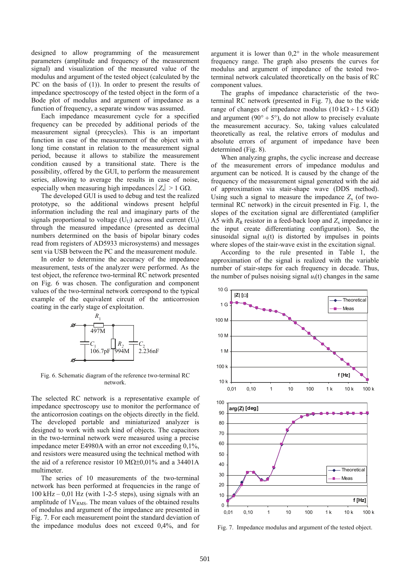designed to allow programming of the measurement parameters (amplitude and frequency of the measurement signal) and visualization of the measured value of the modulus and argument of the tested object (calculated by the PC on the basis of (1)). In order to present the results of impedance spectroscopy of the tested object in the form of a Bode plot of modulus and argument of impedance as a function of frequency, a separate window was assumed.

Each impedance measurement cycle for a specified frequency can be preceded by additional periods of the measurement signal (precycles). This is an important function in case of the measurement of the object with a long time constant in relation to the measurement signal period, because it allows to stabilize the measurement condition caused by a transitional state. There is the possibility, offered by the GUI, to perform the measurement series, allowing to average the results in case of noise, especially when measuring high impedances  $|Z_x| > 1$  G $\Omega$ .

The developed GUI is used to debug and test the realized prototype, so the additional windows present helpful information including the real and imaginary parts of the signals proportional to voltage  $(U_U)$  across and current  $(U_I)$ through the measured impedance (presented as decimal numbers determined on the basis of bipolar binary codes read from registers of AD5933 microsystems) and messages sent via USB between the PC and the measurement module.

In order to determine the accuracy of the impedance measurement, tests of the analyzer were performed. As the test object, the reference two-terminal RC network presented on Fig. 6 was chosen. The configuration and component values of the two-terminal network correspond to the typical example of the equivalent circuit of the anticorrosion coating in the early stage of exploitation.



Fig. 6. Schematic diagram of the reference two-terminal RC network.

The selected RC network is a representative example of impedance spectroscopy use to monitor the performance of the anticorrosion coatings on the objects directly in the field. The developed portable and miniaturized analyzer is designed to work with such kind of objects. The capacitors in the two-terminal network were measured using a precise impedance meter E4980A with an error not exceeding 0,1%, and resistors were measured using the technical method with the aid of a reference resistor 10 MΩ±0,01% and a 34401A multimeter.

The series of 10 measurements of the two-terminal network has been performed at frequencies in the range of  $100 \text{ kHz} - 0.01 \text{ Hz}$  (with 1-2-5 steps), using signals with an amplitude of  $1V_{RMS}$ . The mean values of the obtained results of modulus and argument of the impedance are presented in Fig. 7. For each measurement point the standard deviation of the impedance modulus does not exceed 0,4%, and for

argument it is lower than  $0,2^{\circ}$  in the whole measurement frequency range. The graph also presents the curves for modulus and argument of impedance of the tested twoterminal network calculated theoretically on the basis of RC component values.

The graphs of impedance characteristic of the twoterminal RC network (presented in Fig. 7), due to the wide range of changes of impedance modulus ( $10 \text{ k}\Omega \div 1.5 \text{ G}\Omega$ ) and argument (90 $\degree$  ÷ 5 $\degree$ ), do not allow to precisely evaluate the measurement accuracy. So, taking values calculated theoretically as real, the relative errors of modulus and absolute errors of argument of impedance have been determined (Fig. 8).

When analyzing graphs, the cyclic increase and decrease of the measurement errors of impedance modulus and argument can be noticed. It is caused by the change of the frequency of the measurement signal generated with the aid of approximation via stair-shape wave (DDS method). Using such a signal to measure the impedance  $Z<sub>x</sub>$  (of twoterminal RC network) in the circuit presented in Fig. 1, the slopes of the excitation signal are differentiated (amplifier A5 with  $R_R$  resistor in a feed-back loop and  $Z_x$  impedance in the input create differentiating configuration). So, the sinusoidal signal  $u_i(t)$  is distorted by impulses in points where slopes of the stair-wave exist in the excitation signal.

According to the rule presented in Table 1, the approximation of the signal is realized with the variable number of stair-steps for each frequency in decade. Thus, the number of pulses noising signal  $u_i(t)$  changes in the same



Fig. 7. Impedance modulus and argument of the tested object.